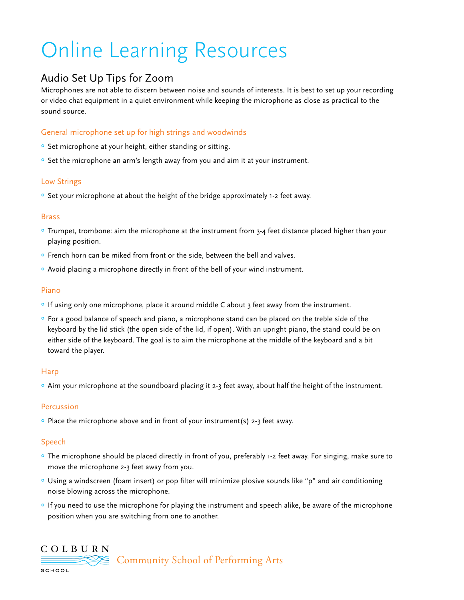# Online Learning Resources

# Audio Set Up Tips for Zoom

Microphones are not able to discern between noise and sounds of interests. It is best to set up your recording or video chat equipment in a quiet environment while keeping the microphone as close as practical to the sound source.

# General microphone set up for high strings and woodwinds

- <sup>o</sup> Set microphone at your height, either standing or sitting.
- <sup>o</sup> Set the microphone an arm's length away from you and aim it at your instrument.

# Low Strings

° Set your microphone at about the height of the bridge approximately 1-2 feet away.

# Brass

- ° Trumpet, trombone: aim the microphone at the instrument from 3-4 feet distance placed higher than your playing position.
- ° French horn can be miked from front or the side, between the bell and valves.
- ° Avoid placing a microphone directly in front of the bell of your wind instrument.

#### Piano

- ° If using only one microphone, place it around middle C about 3 feet away from the instrument.
- ° For a good balance of speech and piano, a microphone stand can be placed on the treble side of the keyboard by the lid stick (the open side of the lid, if open). With an upright piano, the stand could be on either side of the keyboard. The goal is to aim the microphone at the middle of the keyboard and a bit toward the player.

# **Harp**

° Aim your microphone at the soundboard placing it 2-3 feet away, about half the height of the instrument.

# Percussion

° Place the microphone above and in front of your instrument(s) 2-3 feet away.

# Speech

- ° The microphone should be placed directly in front of you, preferably 1-2 feet away. For singing, make sure to move the microphone 2-3 feet away from you.
- ° Using a windscreen (foam insert) or pop filter will minimize plosive sounds like "p" and air conditioning noise blowing across the microphone.
- ° If you need to use the microphone for playing the instrument and speech alike, be aware of the microphone position when you are switching from one to another.

# COLBURN

Community School of Performing Arts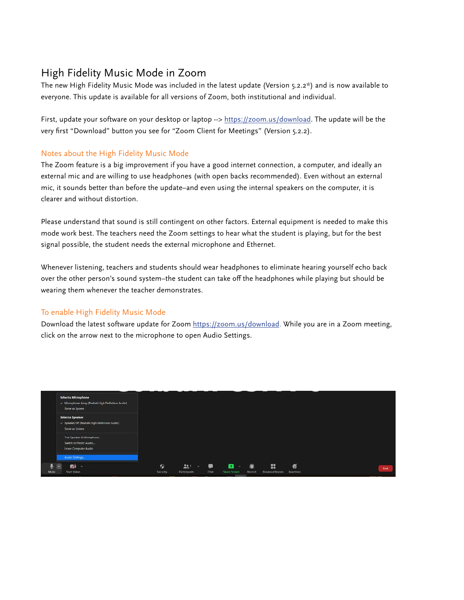# High Fidelity Music Mode in Zoom

The new High Fidelity Music Mode was included in the latest update (Version 5.2.2\*) and is now available to everyone. This update is available for all versions of Zoom, both institutional and individual.

First, update your software on your desktop or laptop --><https://zoom.us/download>. The update will be the very first "Download" button you see for "Zoom Client for Meetings" (Version 5.2.2).

# Notes about the High Fidelity Music Mode

The Zoom feature is a big improvement if you have a good internet connection, a computer, and ideally an external mic and are willing to use headphones (with open backs recommended). Even without an external mic, it sounds better than before the update–and even using the internal speakers on the computer, it is clearer and without distortion.

Please understand that sound is still contingent on other factors. External equipment is needed to make this mode work best. The teachers need the Zoom settings to hear what the student is playing, but for the best signal possible, the student needs the external microphone and Ethernet.

Whenever listening, teachers and students should wear headphones to eliminate hearing yourself echo back over the other person's sound system–the student can take off the headphones while playing but should be wearing them whenever the teacher demonstrates.

# To enable High Fidelity Music Mode

Download the latest software update for Zoom [https://zoom.us/download.](https://zoom.us/download) While you are in a Zoom meeting, click on the arrow next to the microphone to open Audio Settings.

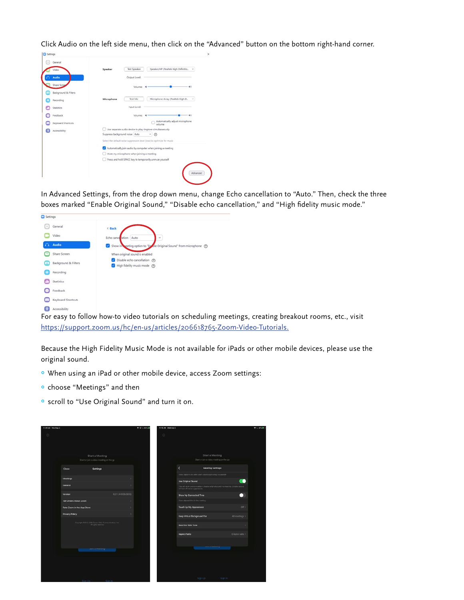Click Audio on the left side menu, then click on the "Advanced" button on the bottom right-hand corner.

| Settings             |                                                                        |  |  |  |
|----------------------|------------------------------------------------------------------------|--|--|--|
| General<br>٠         |                                                                        |  |  |  |
| Video                | Speaker/HP (Realtek High Definitio<br><b>Test Speaker</b><br>Speaker   |  |  |  |
| Audio                | Output Level:                                                          |  |  |  |
| Share Scree          | 40<br>Volume:                                                          |  |  |  |
| Background & Filters |                                                                        |  |  |  |
| Recording            | Microphone Array (Realtek High D.,<br>Test Mic<br>Microphone           |  |  |  |
| <b>Statistics</b>    | <b>Input Level:</b>                                                    |  |  |  |
| Feedback             | Volume:<br>$-40$                                                       |  |  |  |
| Keyboard Shortcuts   | Automatically adjust microphone<br>volume                              |  |  |  |
| Accessibility        | Use separate audio device to play ringtone simultaneously              |  |  |  |
|                      | Suppress background noise Auto<br>0                                    |  |  |  |
|                      | Select the default noise suppression level (low) to optimize for music |  |  |  |
|                      | Automatically join audio by computer when joining a meeting            |  |  |  |
|                      | Mute my microphone when joining a meeting                              |  |  |  |
|                      | Press and hold SPACE key to temporarily unmute yourself                |  |  |  |

In Advanced Settings, from the drop down menu, change Echo cancellation to "Auto." Then, check the three boxes marked "Enable Original Sound," "Disable echo cancellation," and "High fidelity music mode."



For easy to follow how-to video tutorials on scheduling meetings, creating breakout rooms, etc., visit [https://support.zoom.us/hc/en-us/articles/206618765-Zoom-Video-Tutorials.](https://support.zoom.us/hc/en-us/articles/206618765-Zoom-Video-Tutorials)

Because the High Fidelity Music Mode is not available for iPads or other mobile devices, please use the original sound.

- ° When using an iPad or other mobile device, access Zoom settings:
- ° choose "Meetings" and then
- ° scroll to "Use Original Sound" and turn it on.

|                                                                                |                    | 垃 |                                                                                                                                                 |                  |
|--------------------------------------------------------------------------------|--------------------|---|-------------------------------------------------------------------------------------------------------------------------------------------------|------------------|
| Start a Meeting                                                                |                    |   | Start a Meeting                                                                                                                                 |                  |
| Start or join a video meeting on the go-                                       |                    |   | Start or join a video meeting on the go                                                                                                         |                  |
| Sattings<br>Close                                                              |                    |   | k<br><b>Meeting Settings</b>                                                                                                                    |                  |
| Meetings                                                                       |                    |   | show captons on years shen cases captoning is automobile                                                                                        |                  |
| General                                                                        |                    |   | Use Original Sound<br>This will allow you to enable or chalcre original squadrin amercing. Chiginal squirol<br>mil have all mains suppressions. |                  |
| Version                                                                        | 6.2.1.(44098.0816) |   | Show My Connected Time                                                                                                                          | . .              |
| 166 Others About Zoom                                                          | ,                  |   | Show slapped firre in the roseting                                                                                                              |                  |
| Rate Zeom in the App Store                                                     |                    |   | Touch Up My Appearance                                                                                                                          | $OH$ )           |
| Privacy Policy                                                                 |                    |   | Keep Virtual Background For                                                                                                                     | All mastings 5   |
| Copyright CDS13 (2020 Zoone Video Communications, Inc.)<br>All rights research |                    |   | <b>Reaction Skin Tores</b>                                                                                                                      |                  |
|                                                                                |                    |   | <b>Aspect Ratio</b>                                                                                                                             | Original ratio > |
|                                                                                |                    |   |                                                                                                                                                 |                  |
| <b><i><u><u>ANTER ATMENTS</u></u></i></b>                                      |                    |   | <b>RALLA MANAGERIA</b>                                                                                                                          |                  |
|                                                                                |                    |   |                                                                                                                                                 |                  |
|                                                                                |                    |   |                                                                                                                                                 |                  |
|                                                                                |                    |   |                                                                                                                                                 |                  |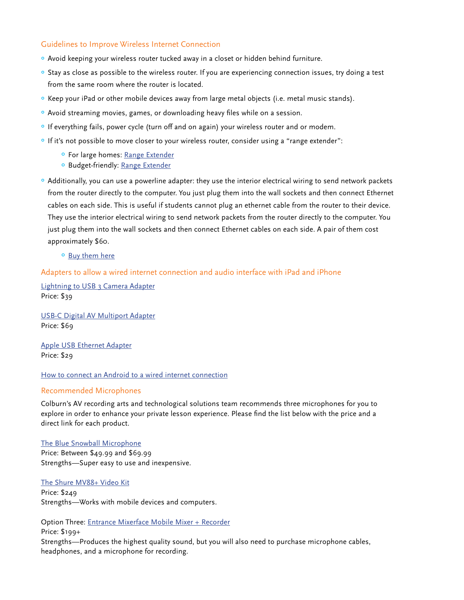# Guidelines to Improve Wireless Internet Connection

- ° Avoid keeping your wireless router tucked away in a closet or hidden behind furniture.
- ° Stay as close as possible to the wireless router. If you are experiencing connection issues, try doing a test from the same room where the router is located.
- ° Keep your iPad or other mobile devices away from large metal objects (i.e. metal music stands).
- ° Avoid streaming movies, games, or downloading heavy files while on a session.
- ° If everything fails, power cycle (turn off and on again) your wireless router and or modem.
- ° If it's not possible to move closer to your wireless router, consider using a "range extender":
	- ° For large homes: [Range Extender](https://www.amazon.com/NETGEAR-Orbi-Whole-Home-System/dp/B07CQDHPFT/ref=sr_1_3?dchild=1&keywords=orbi+mesh+wifi&qid=1587148712&sr=8-3)
	- ° Budget-friendly: [Range Extender](https://www.amazon.com/TP-Link-Extender-Repeater-Housing-RE200/dp/B07N1WW638/ref=sxin_4_osp35-8d87f7aa_cov?ascsubtag=amzn1.osa.8d87f7aa-a807-4b0f-ab30-7a3c71a5133e.ATVPDKIKX0DER.en_US&creativeASIN=B00NR2VMNC&cv_ct_cx=wifi%2Brange%2Bextender&cv_ct_id=amzn1.osa.8d87f7aa-a807-4b0f-ab30-7a3c71a5133e.ATVPDKIKX0DER.en_US&cv_ct_pg=search&cv_ct_wn=osp-search&dchild=1&keywords=wifi%2Brange%2Bextender&linkCode=oas&pd_rd_i=B00NR2VMNC&pd_rd_r=cb6b0810-01a7-48ac-885c-16657c23d77f&pd_rd_w=wHRTX&pd_rd_wg=8yjOh&pf_rd_p=b6bd5224-05d9-4fef-a730-ce19a634e012&pf_rd_r=1RCTT7VF6TDBFJSTR1X6&qid=1587148389&sr=1-3-32a32192-7547-4d9b-b4f8-fe31bfe05040&tag=heavy0013-20&th=1)
- ° Additionally, you can use a powerline adapter: they use the interior electrical wiring to send network packets from the router directly to the computer. You just plug them into the wall sockets and then connect Ethernet cables on each side. This is useful if students cannot plug an ethernet cable from the router to their device. They use the interior electrical wiring to send network packets from the router directly to the computer. You just plug them into the wall sockets and then connect Ethernet cables on each side. A pair of them cost approximately \$60.
	- ° [Buy them here](https://smile.amazon.com/gp/product/B00F0RC97A/ref=ppx_yo_dt_b_search_asin_title?ie=UTF8&th=1)

# Adapters to allow a wired internet connection and audio interface with iPad and iPhone

[Lightning to USB 3 Camera Adapter](https://www.apple.com/shop/product/MK0W2AM/A/lightning-to-usb-3-camera-adapter?afid=p238%7CsxGOcO7Q8-dc_mtid_1870765e38482_pcrid_246386725857_pgrid_14874603490_&cid=aos-us-kwgo-pla-btb--slid---product-MK0W2AM/A) Price: \$39

[USB-C Digital AV Multiport Adapter](https://www.apple.com/shop/product/MUF82AM/A/usb-c-digital-av-multiport-adapter?fnode=de7d78d646d3e038eed463599ec70cbcbf125850c84719228d66a4adba8d056032c070ec2da12f5281acdaf3c527824bc5d2582d43cc735c5406a712ecb8e053175efac2cfb0fea789db10c6d328da0acd7c7bdc76b94088e3a4602f962fee7ed13543a295698eec2bd9eb0acbb5b35b) Price: \$69

[Apple USB Ethernet Adapter](https://www.apple.com/shop/product/MC704LL/A/apple-usb-ethernet-adapter?fnode=d2835096cdac071dbfdc464ce58d7dfb5cd1139eb429bff451fa745731fca6e23e0523654af01c187502daa7ff165b2cd5e20f7a21e8376640479cf853ebb4c636eb524c9bf8b47b095c4d0b9f12c76d7355228a27aa174ca1d9d62bbf218b656c24e0df74399774be4c5d1782d864c7) Price: \$29

# [How to connect an Android to a wired internet connection](https://www.wirelesshack.org/how-to-connect-a-android-to-wired-ethernet-connection.html)

#### Recommended Microphones

Colburn's AV recording arts and technological solutions team recommends three microphones for you to explore in order to enhance your private lesson experience. Please find the list below with the price and a direct link for each product.

#### [The Blue Snowball Microphone](https://www.amazon.com/Blue-Snowball-Condenser-Microphone-Cardioid/dp/B014PYGTUQ?ref_=ast_sto_dp) Price: Between \$49.99 and \$69.99 Strengths—Super easy to use and inexpensive.

#### [The Shure MV88+ Video Kit](file:https://www.amazon.com/Shure-MV88-Digital-Condenser-Microphone/dp/B07M8JLFLK)

Price: \$249 Strengths—Works with mobile devices and computers.

Option Three: [Entrance Mixerface Mobile Mixer + Recorder](https://centrance.com/mixerface/)

Price: \$199+

Strengths—Produces the highest quality sound, but you will also need to purchase microphone cables, headphones, and a microphone for recording.